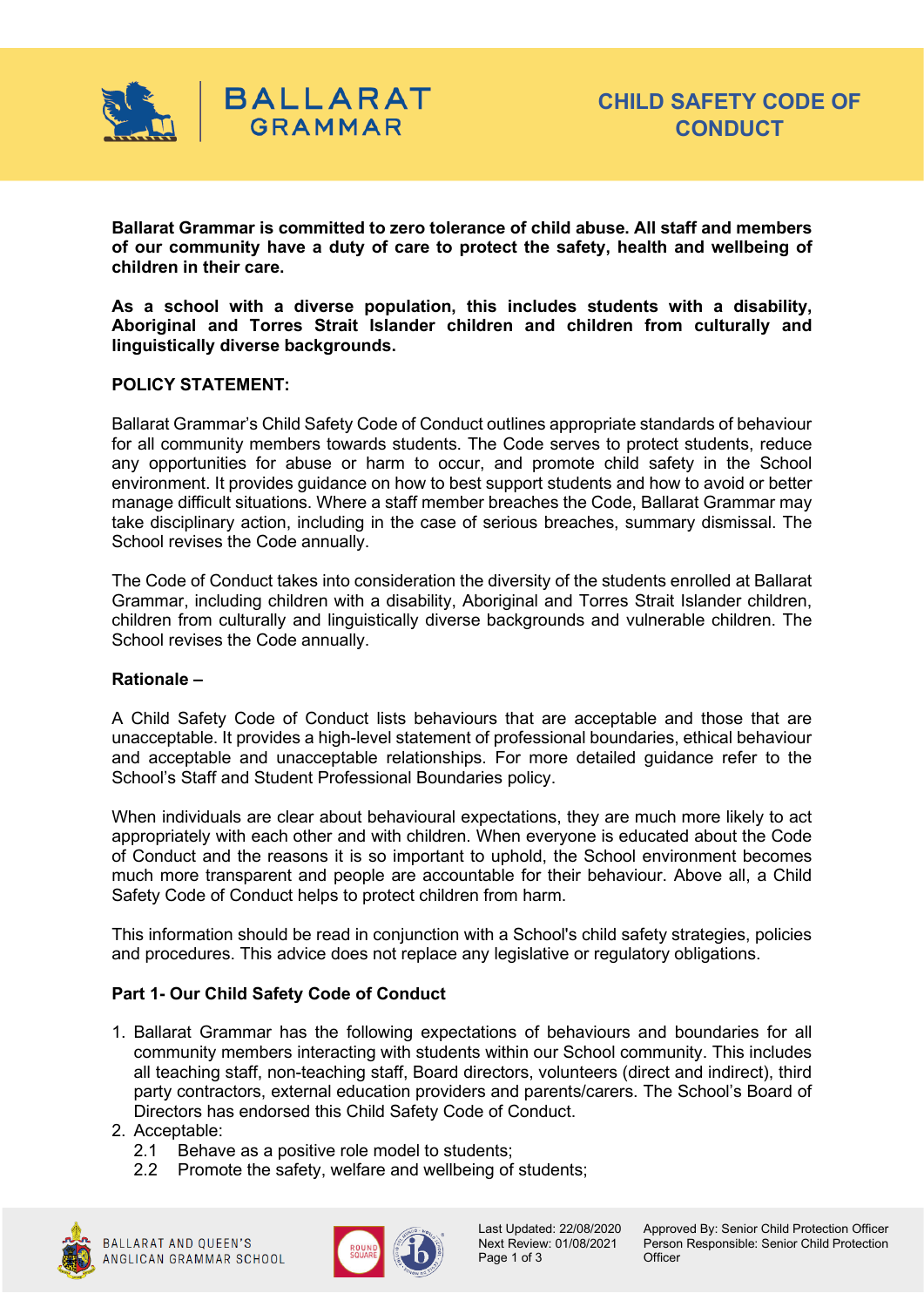

**Ballarat Grammar is committed to zero tolerance of child abuse. All staff and members of our community have a duty of care to protect the safety, health and wellbeing of children in their care.**

**As a school with a diverse population, this includes students with a disability, Aboriginal and Torres Strait Islander children and children from culturally and linguistically diverse backgrounds.**

## **POLICY STATEMENT:**

Ballarat Grammar's Child Safety Code of Conduct outlines appropriate standards of behaviour for all community members towards students. The Code serves to protect students, reduce any opportunities for abuse or harm to occur, and promote child safety in the School environment. It provides guidance on how to best support students and how to avoid or better manage difficult situations. Where a staff member breaches the Code, Ballarat Grammar may take disciplinary action, including in the case of serious breaches, summary dismissal. The School revises the Code annually.

The Code of Conduct takes into consideration the diversity of the students enrolled at Ballarat Grammar, including children with a disability, Aboriginal and Torres Strait Islander children, children from culturally and linguistically diverse backgrounds and vulnerable children. The School revises the Code annually.

## **Rationale –**

A Child Safety Code of Conduct lists behaviours that are acceptable and those that are unacceptable. It provides a high-level statement of professional boundaries, ethical behaviour and acceptable and unacceptable relationships. For more detailed guidance refer to the School's Staff and Student Professional Boundaries policy.

When individuals are clear about behavioural expectations, they are much more likely to act appropriately with each other and with children. When everyone is educated about the Code of Conduct and the reasons it is so important to uphold, the School environment becomes much more transparent and people are accountable for their behaviour. Above all, a Child Safety Code of Conduct helps to protect children from harm.

This information should be read in conjunction with a School's child safety strategies, policies and procedures. This advice does not replace any legislative or regulatory obligations.

## **Part 1- Our Child Safety Code of Conduct**

- 1. Ballarat Grammar has the following expectations of behaviours and boundaries for all community members interacting with students within our School community. This includes all teaching staff, non-teaching staff, Board directors, volunteers (direct and indirect), third party contractors, external education providers and parents/carers. The School's Board of Directors has endorsed this Child Safety Code of Conduct.
- 2. Acceptable:
	- 2.1 Behave as a positive role model to students;
	- 2.2 Promote the safety, welfare and wellbeing of students;





Page 1 of 3 Officer

Last Updated: 22/08/2020 Approved By: Senior Child Protection Officer<br>Next Review: 01/08/2021 Person Responsible: Senior Child Protection Person Responsible: Senior Child Protection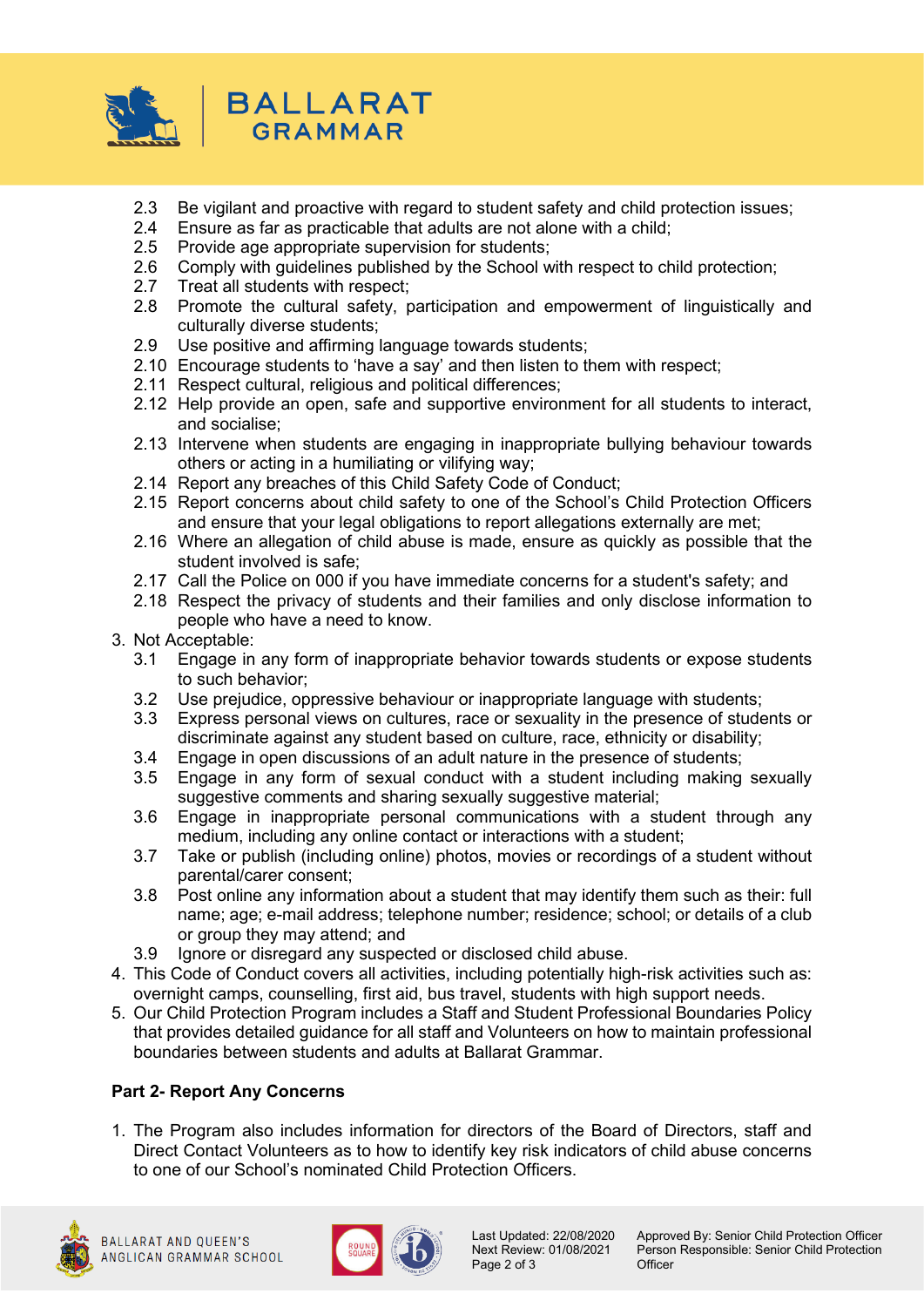

- 2.3 Be vigilant and proactive with regard to student safety and child protection issues;
- 2.4 Ensure as far as practicable that adults are not alone with a child;<br>2.5 Provide age appropriate supervision for students;
- Provide age appropriate supervision for students;
- 2.6 Comply with guidelines published by the School with respect to child protection;<br>2.7 Treat all students with respect:
- Treat all students with respect:
- 2.8 Promote the cultural safety, participation and empowerment of linguistically and culturally diverse students;
- 2.9 Use positive and affirming language towards students;
- 2.10 Encourage students to 'have a say' and then listen to them with respect;
- 2.11 Respect cultural, religious and political differences;
- 2.12 Help provide an open, safe and supportive environment for all students to interact, and socialise;
- 2.13 Intervene when students are engaging in inappropriate bullying behaviour towards others or acting in a humiliating or vilifying way;
- 2.14 Report any breaches of this Child Safety Code of Conduct;
- 2.15 Report concerns about child safety to one of the School's Child Protection Officers and ensure that your legal obligations to report allegations externally are met;
- 2.16 Where an allegation of child abuse is made, ensure as quickly as possible that the student involved is safe;
- 2.17 Call the Police on 000 if you have immediate concerns for a student's safety; and
- 2.18 Respect the privacy of students and their families and only disclose information to people who have a need to know.
- 3. Not Acceptable:
	- 3.1 Engage in any form of inappropriate behavior towards students or expose students to such behavior;
	- 3.2 Use prejudice, oppressive behaviour or inappropriate language with students;
	- 3.3 Express personal views on cultures, race or sexuality in the presence of students or discriminate against any student based on culture, race, ethnicity or disability;
	- 3.4 Engage in open discussions of an adult nature in the presence of students;
	- 3.5 Engage in any form of sexual conduct with a student including making sexually suggestive comments and sharing sexually suggestive material;
	- 3.6 Engage in inappropriate personal communications with a student through any medium, including any online contact or interactions with a student;
	- 3.7 Take or publish (including online) photos, movies or recordings of a student without parental/carer consent;
	- 3.8 Post online any information about a student that may identify them such as their: full name; age; e-mail address; telephone number; residence; school; or details of a club or group they may attend; and
	- 3.9 Ignore or disregard any suspected or disclosed child abuse.
- 4. This Code of Conduct covers all activities, including potentially high-risk activities such as: overnight camps, counselling, first aid, bus travel, students with high support needs.
- 5. Our Child Protection Program includes a Staff and Student Professional Boundaries Policy that provides detailed guidance for all staff and Volunteers on how to maintain professional boundaries between students and adults at Ballarat Grammar.

# **Part 2- Report Any Concerns**

1. The Program also includes information for directors of the Board of Directors, staff and Direct Contact Volunteers as to how to identify key risk indicators of child abuse concerns to one of our School's nominated Child Protection Officers.





Page 2 of 3

Last Updated: 22/08/2020 Approved By: Senior Child Protection Officer<br>Next Review: 01/08/2021 Person Responsible: Senior Child Protection Person Responsible: Senior Child Protection<br>Officer